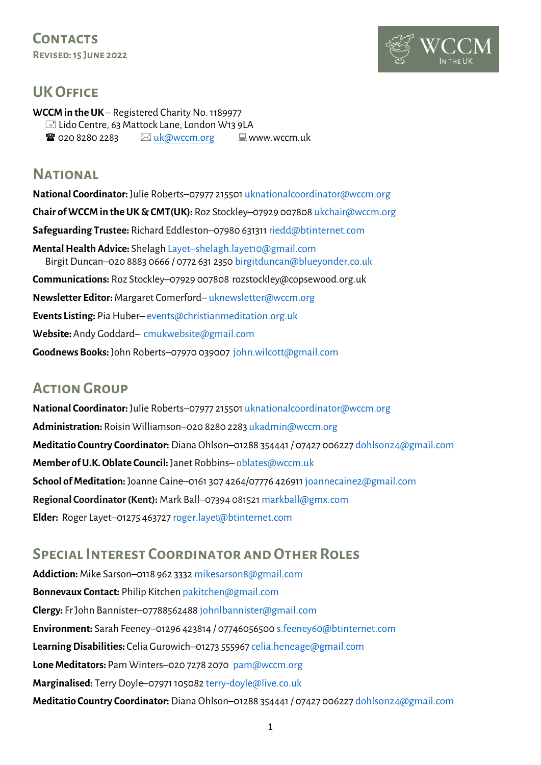**Contacts Revised: 15 June 2022**



## **UK OFFICE**

**WCCM in the UK** – Registered Charity No. 1189977 Lido Centre, 63 Mattock Lane, London W13 9LA  $\mathbf{\hat{x}}$  020 8280 2283  $\qquad \qquad \boxtimes$  [uk@wccm.org](mailto:uk@wccm.org)  $\qquad \qquad \text{W}$  www.wccm.uk

## **National**

**National Coordinator:** Julie Roberts–07977 21550[1 uknationalcoordinator@wccm.org](mailto:uknationalcoordinator@wccm.org)  **Chair of WCCM in the UK & CMT(UK):** Roz Stockley–07929 00780[8 ukchair@wccm.org](mailto:ukchair@wccm.org)  **Safeguarding Trustee:** Richard Eddleston–07980 631311 [riedd@btinternet.com](mailto:riedd@btinternet.com) **Mental Health Advice:** Shelagh Layet–[shelagh.layet10@gmail.com](mailto:Layet–shelagh.layet10@gmail.com) Birgit Duncan–020 8883 0666 / 0772 631 235[0 birgitduncan@blueyonder.co.uk](mailto:birgitduncan@blueyonder.co.uk)  **Communications:** Roz Stockley–07929 007808 rozstockley@copsewood.org.uk **Newsletter Editor:** Margaret Comerford– [uknewsletter@wccm.org](mailto:uknewsletter@wccm.org)  **Events Listing:** Pia Huber– [events@christianmeditation.org.uk](mailto:events@christianmeditation.org.uk) **Website:** Andy Goddard– [cmukwebsite@gmail.com](mailto:cmukwebsite@gmail.com) **Goodnews Books:** John Roberts–07970 039007 [john.wilcott@gmail.com](mailto:john.wilcott@gmail.com)

# **Action Group**

**National Coordinator:** Julie Roberts–07977 21550[1 uknationalcoordinator@wccm.org](mailto:uknationalcoordinator@wccm.org)  **Administration:** Roisin Williamson–020 8280 228[3 ukadmin@wccm.org](mailto:ukadmin@wccm.org)  **Meditatio Country Coordinator:** Diana Ohlson–01288 354441 / 07427 00622[7 dohlson24@gmail.com](mailto:dohlson24@gmail.com) **Member of U.K. Oblate Council:** Janet Robbins– [oblates@wccm.uk](mailto:oblates@wccm.uk)  **School of Meditation:** Joanne Caine–0161 307 4264/07776 42691[1 joannecaine2@gmail.com](mailto:joannecaine2@gmail.com) **Regional Coordinator (Kent):** Mark Ball–07394 08152[1 markball@gmx.com](mailto:markball@gmx.com) **Elder:** Roger Layet–01275 46372[7 roger.layet@btinternet.com](mailto:roger.layet@btinternet.com)

# **Special Interest Coordinator and Other Roles**

**Addiction:** Mike Sarson–0118 962 333[2 mikesarson8@gmail.com](mailto:mikesarson8@gmail.com)  **Bonnevaux Contact:** Philip Kitchen [pakitchen@gmail.com](mailto:pakitchen@gmail.com) **Clergy:** Fr John Bannister–07788562488 [johnlbannister@gmail.com](mailto:johnlbannister@gmail.com) **Environment:** Sarah Feeney–01296 423814 / 0774605650[0 s.feeney60@btinternet.com](mailto:s.feeney60@btinternet.com)  **Learning Disabilities:** Celia Gurowich–01273 55596[7 celia.heneage@gmail.com](mailto:celia.heneage@gmail.com)  **Lone Meditators:** Pam Winters–020 7278 2070 [pam@wccm.org](mailto:pam@wccm.org)  **Marginalised:** Terry Doyle–07971 10508[2 terry-doyle@live.co.uk](mailto:terry-doyle@live.co.uk) **Meditatio Country Coordinator:** Diana Ohlson–01288 354441 / 07427 00622[7 dohlson24@gmail.com](mailto:dohlson24@gmail.com)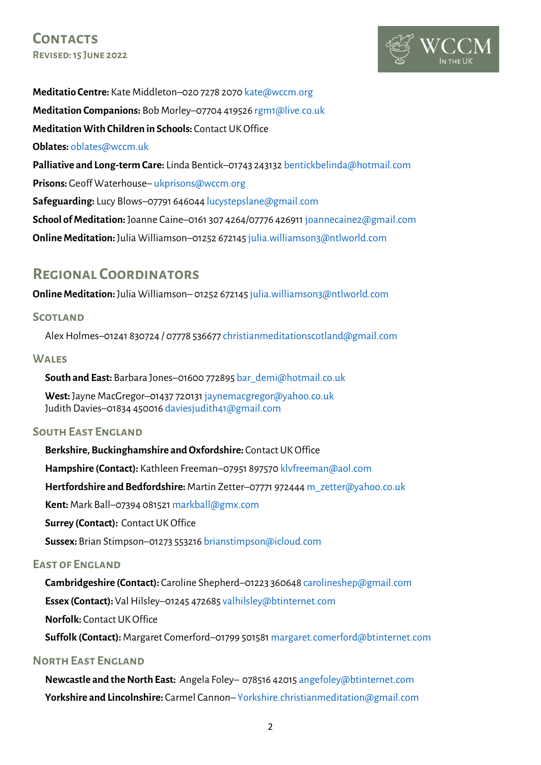

**Meditatio Centre:** Kate Middleton–020 7278 2070 [kate@wccm.org](mailto:kate@wccm.org)  **Meditation Companions:** Bob Morley–07704 41952[6 rgm1@live.co.uk](mailto:rgm1@live.co.uk) **Meditation With Children in Schools:** Contact UK Office **Oblates:** [oblates@wccm.uk](mailto:oblates@wccm.uk) **Palliative and Long-term Care:** Linda Bentick–01743 24313[2 bentickbelinda@hotmail.com](mailto:bentickbelinda@hotmail.com) **Prisons:** Geoff Waterhouse– [ukprisons@wccm.org](mailto:ukprisons@wccm.org)  **Safeguarding:** Lucy Blows–07791 64604[4 lucystepslane@gmail.com](mailto:lucystepslane@gmail.com) **School of Meditation:** Joanne Caine–0161 307 4264/07776 42691[1 joannecaine2@gmail.com](mailto:joannecaine2@gmail.com) **Online Meditation:** Julia Williamson-01252 67214[5 julia.williamson3@ntlworld.com](mailto:julia.williamson3@ntlworld.com)

## **Regional Coordinators**

**Online Meditation:** Julia Williamson–01252 67214[5 julia.williamson3@ntlworld.com](mailto:julia.williamson3@ntlworld.com)

## **Scotland**

Alex Holmes–01241 830724 / 07778 53667[7 christianmeditationscotland@gmail.com](mailto:christianmeditationscotland@gmail.com)

#### **Wales**

**South and East:** Barbara Jones–01600 77289[5 bar\\_demi@hotmail.co.uk](mailto:bar_demi@hotmail.co.uk) 

**West:** Jayne MacGregor–01437 72013[1 jaynemacgregor@yahoo.co.uk](mailto:jaynemacgregor@yahoo.co.uk)  Judith Davies–01834 45001[6 daviesjudith41@gmail.com](mailto:daviesjudith41@gmail.com) 

## **South East England**

**Berkshire, Buckinghamshire and Oxfordshire:** Contact UK Office

**Hampshire (Contact):** Kathleen Freeman–07951 89757[0 klvfreeman@aol.com](mailto:klvfreeman@aol.com) 

**Hertfordshire and Bedfordshire:** Martin Zetter–07771 97244[4 m\\_zetter@yahoo.co.uk](mailto:m_zetter@yahoo.co.uk)

**Kent:** Mark Ball–07394 08152[1 markball@gmx.com](mailto:markball@gmx.com)

**Surrey (Contact):** Contact UK Office

**Sussex:** Brian Stimpson–01273 55321[6 brianstimpson@icloud.com](mailto:brianstimpson@icloud.com)

#### **East of England**

**Cambridgeshire (Contact):** Caroline Shepherd–01223 360648 [carolineshep@gmail.com](mailto:carolineshep@gmail.com)  **Essex (Contact):** Val Hilsley–01245 47268[5 valhilsley@btinternet.com](mailto:valhilsley@btinternet.com) **Norfolk:** Contact UK Office

**Suffolk (Contact):** Margaret Comerford–01799 50158[1 margaret.comerford@btinternet.com](mailto:margaret.comerford@btinternet.com)

### **North East England**

**Newcastle and the North East:** Angela Foley– 078516 4201[5 angefoley@btinternet.com](mailto:angefoley@btinternet.com) **Yorkshire and Lincolnshire:** Carmel Cannon– [Yorkshire.christianmeditation@gmail.com](mailto:Yorkshire.christianmeditation@gmail.com)